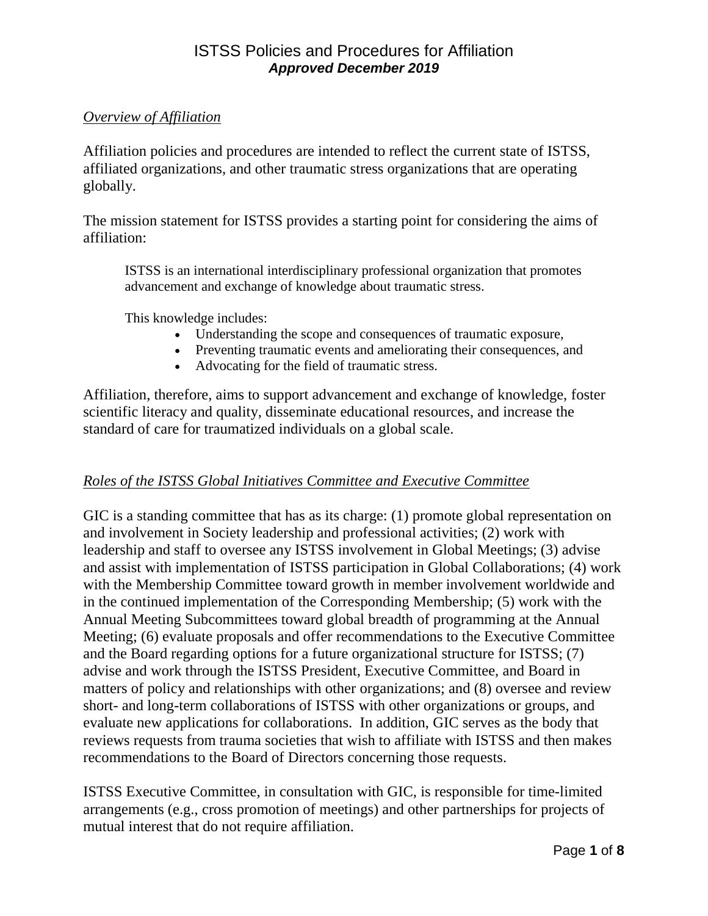#### *Overview of Affiliation*

Affiliation policies and procedures are intended to reflect the current state of ISTSS, affiliated organizations, and other traumatic stress organizations that are operating globally.

The mission statement for ISTSS provides a starting point for considering the aims of affiliation:

ISTSS is an international interdisciplinary professional organization that promotes advancement and exchange of knowledge about traumatic stress.

This knowledge includes:

- Understanding the scope and consequences of traumatic exposure,
- Preventing traumatic events and ameliorating their consequences, and
- Advocating for the field of traumatic stress.

Affiliation, therefore, aims to support advancement and exchange of knowledge, foster scientific literacy and quality, disseminate educational resources, and increase the standard of care for traumatized individuals on a global scale.

#### *Roles of the ISTSS Global Initiatives Committee and Executive Committee*

GIC is a standing committee that has as its charge: (1) promote global representation on and involvement in Society leadership and professional activities; (2) work with leadership and staff to oversee any ISTSS involvement in Global Meetings; (3) advise and assist with implementation of ISTSS participation in Global Collaborations; (4) work with the Membership Committee toward growth in member involvement worldwide and in the continued implementation of the Corresponding Membership; (5) work with the Annual Meeting Subcommittees toward global breadth of programming at the Annual Meeting; (6) evaluate proposals and offer recommendations to the Executive Committee and the Board regarding options for a future organizational structure for ISTSS; (7) advise and work through the ISTSS President, Executive Committee, and Board in matters of policy and relationships with other organizations; and (8) oversee and review short- and long-term collaborations of ISTSS with other organizations or groups, and evaluate new applications for collaborations. In addition, GIC serves as the body that reviews requests from trauma societies that wish to affiliate with ISTSS and then makes recommendations to the Board of Directors concerning those requests.

ISTSS Executive Committee, in consultation with GIC, is responsible for time-limited arrangements (e.g., cross promotion of meetings) and other partnerships for projects of mutual interest that do not require affiliation.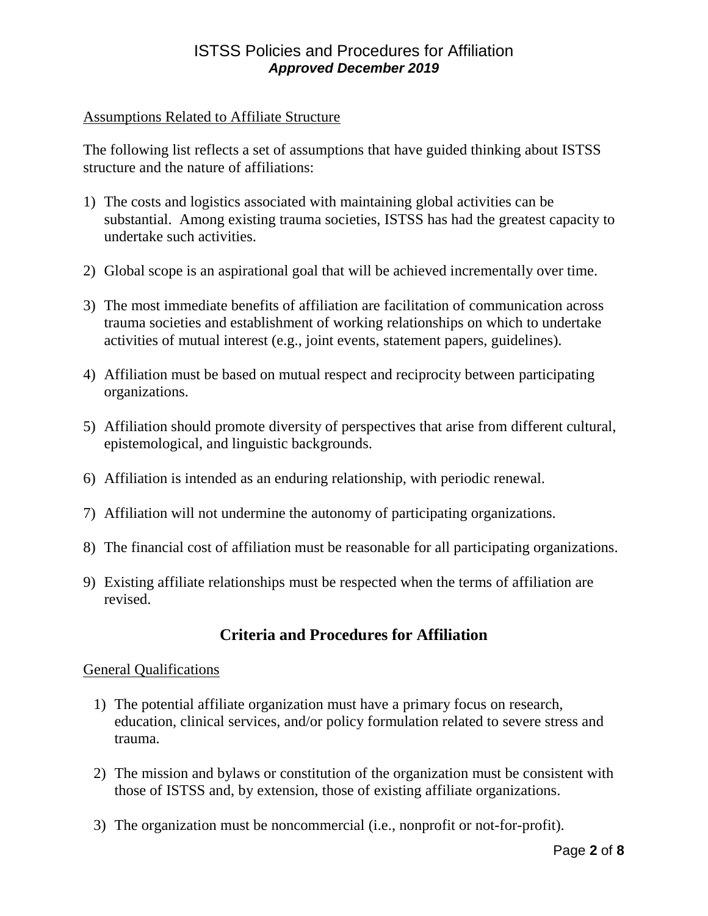#### Assumptions Related to Affiliate Structure

The following list reflects a set of assumptions that have guided thinking about ISTSS structure and the nature of affiliations:

- 1) The costs and logistics associated with maintaining global activities can be substantial. Among existing trauma societies, ISTSS has had the greatest capacity to undertake such activities.
- 2) Global scope is an aspirational goal that will be achieved incrementally over time.
- 3) The most immediate benefits of affiliation are facilitation of communication across trauma societies and establishment of working relationships on which to undertake activities of mutual interest (e.g., joint events, statement papers, guidelines).
- 4) Affiliation must be based on mutual respect and reciprocity between participating organizations.
- 5) Affiliation should promote diversity of perspectives that arise from different cultural, epistemological, and linguistic backgrounds.
- 6) Affiliation is intended as an enduring relationship, with periodic renewal.
- 7) Affiliation will not undermine the autonomy of participating organizations.
- 8) The financial cost of affiliation must be reasonable for all participating organizations.
- 9) Existing affiliate relationships must be respected when the terms of affiliation are revised.

# **Criteria and Procedures for Affiliation**

#### General Qualifications

- 1) The potential affiliate organization must have a primary focus on research, education, clinical services, and/or policy formulation related to severe stress and trauma.
- 2) The mission and bylaws or constitution of the organization must be consistent with those of ISTSS and, by extension, those of existing affiliate organizations.
- 3) The organization must be noncommercial (i.e., nonprofit or not-for-profit).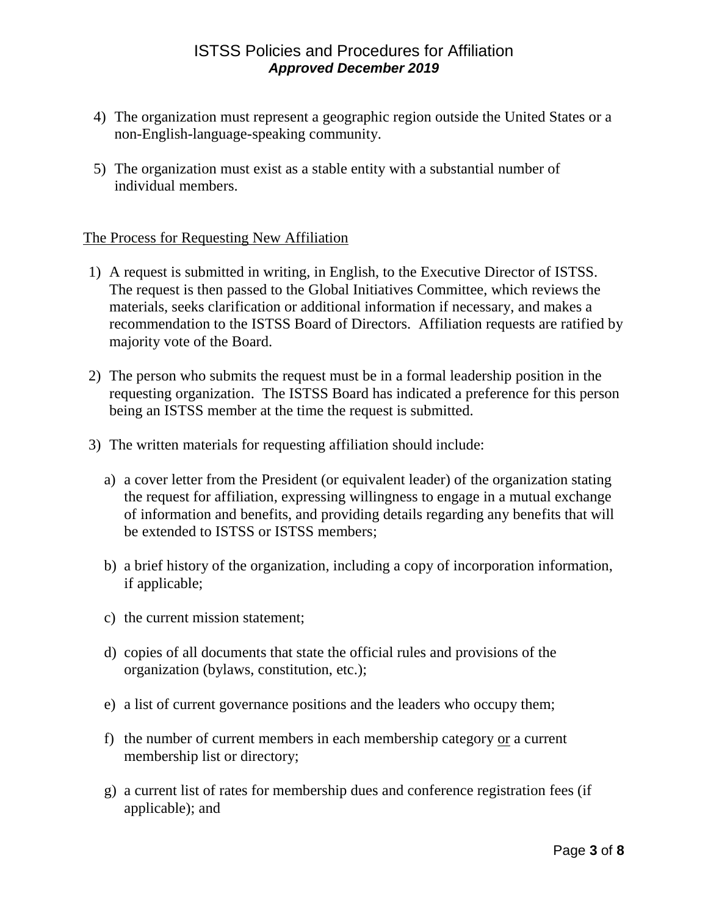- 4) The organization must represent a geographic region outside the United States or a non-English-language-speaking community.
- 5) The organization must exist as a stable entity with a substantial number of individual members.

#### The Process for Requesting New Affiliation

- 1) A request is submitted in writing, in English, to the Executive Director of ISTSS. The request is then passed to the Global Initiatives Committee, which reviews the materials, seeks clarification or additional information if necessary, and makes a recommendation to the ISTSS Board of Directors. Affiliation requests are ratified by majority vote of the Board.
- 2) The person who submits the request must be in a formal leadership position in the requesting organization. The ISTSS Board has indicated a preference for this person being an ISTSS member at the time the request is submitted.
- 3) The written materials for requesting affiliation should include:
	- a) a cover letter from the President (or equivalent leader) of the organization stating the request for affiliation, expressing willingness to engage in a mutual exchange of information and benefits, and providing details regarding any benefits that will be extended to ISTSS or ISTSS members;
	- b) a brief history of the organization, including a copy of incorporation information, if applicable;
	- c) the current mission statement;
	- d) copies of all documents that state the official rules and provisions of the organization (bylaws, constitution, etc.);
	- e) a list of current governance positions and the leaders who occupy them;
	- f) the number of current members in each membership category or a current membership list or directory;
	- g) a current list of rates for membership dues and conference registration fees (if applicable); and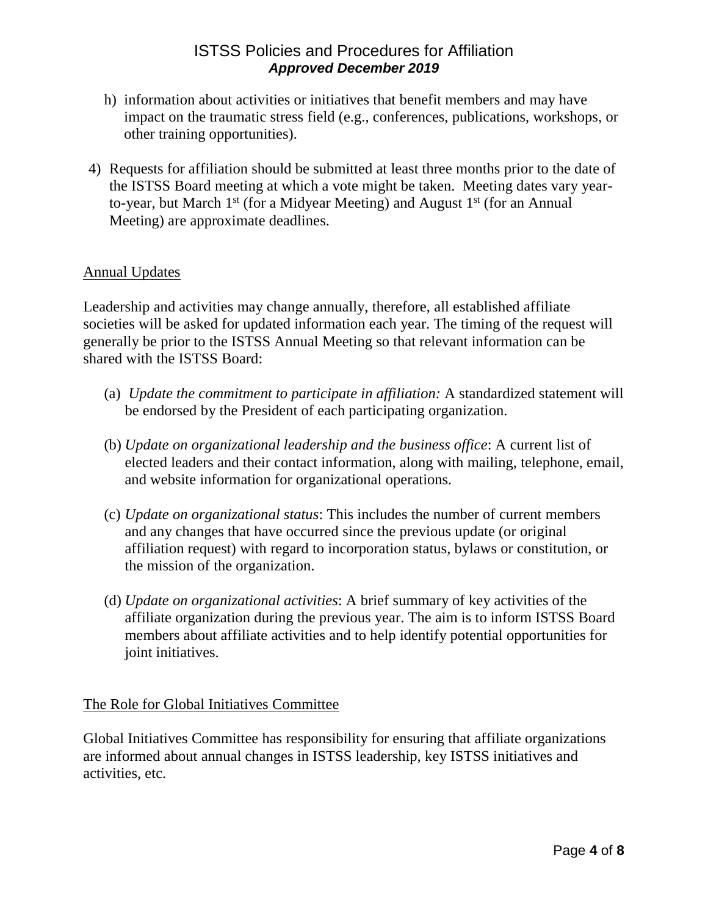- h) information about activities or initiatives that benefit members and may have impact on the traumatic stress field (e.g., conferences, publications, workshops, or other training opportunities).
- 4) Requests for affiliation should be submitted at least three months prior to the date of the ISTSS Board meeting at which a vote might be taken. Meeting dates vary yearto-year, but March  $1<sup>st</sup>$  (for a Midyear Meeting) and August  $1<sup>st</sup>$  (for an Annual Meeting) are approximate deadlines.

#### Annual Updates

Leadership and activities may change annually, therefore, all established affiliate societies will be asked for updated information each year. The timing of the request will generally be prior to the ISTSS Annual Meeting so that relevant information can be shared with the ISTSS Board:

- (a) *Update the commitment to participate in affiliation:* A standardized statement will be endorsed by the President of each participating organization.
- (b) *Update on organizational leadership and the business office*: A current list of elected leaders and their contact information, along with mailing, telephone, email, and website information for organizational operations.
- (c) *Update on organizational status*: This includes the number of current members and any changes that have occurred since the previous update (or original affiliation request) with regard to incorporation status, bylaws or constitution, or the mission of the organization.
- (d) *Update on organizational activities*: A brief summary of key activities of the affiliate organization during the previous year. The aim is to inform ISTSS Board members about affiliate activities and to help identify potential opportunities for joint initiatives.

The Role for Global Initiatives Committee

Global Initiatives Committee has responsibility for ensuring that affiliate organizations are informed about annual changes in ISTSS leadership, key ISTSS initiatives and activities, etc.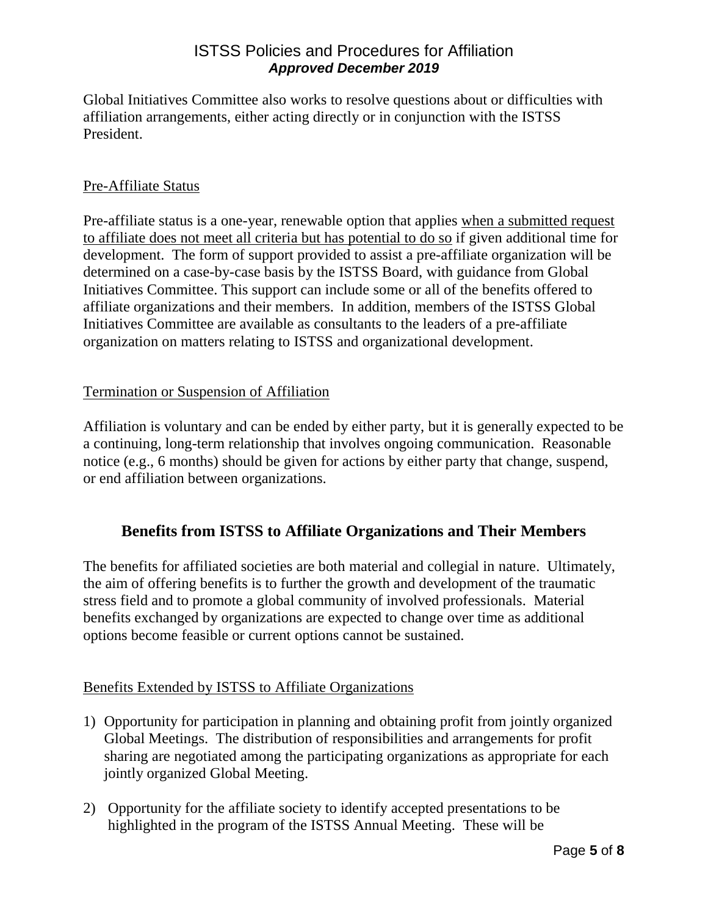Global Initiatives Committee also works to resolve questions about or difficulties with affiliation arrangements, either acting directly or in conjunction with the ISTSS President.

#### Pre-Affiliate Status

Pre-affiliate status is a one-year, renewable option that applies when a submitted request to affiliate does not meet all criteria but has potential to do so if given additional time for development. The form of support provided to assist a pre-affiliate organization will be determined on a case-by-case basis by the ISTSS Board, with guidance from Global Initiatives Committee. This support can include some or all of the benefits offered to affiliate organizations and their members. In addition, members of the ISTSS Global Initiatives Committee are available as consultants to the leaders of a pre-affiliate organization on matters relating to ISTSS and organizational development.

#### Termination or Suspension of Affiliation

Affiliation is voluntary and can be ended by either party, but it is generally expected to be a continuing, long-term relationship that involves ongoing communication. Reasonable notice (e.g., 6 months) should be given for actions by either party that change, suspend, or end affiliation between organizations.

# **Benefits from ISTSS to Affiliate Organizations and Their Members**

The benefits for affiliated societies are both material and collegial in nature. Ultimately, the aim of offering benefits is to further the growth and development of the traumatic stress field and to promote a global community of involved professionals. Material benefits exchanged by organizations are expected to change over time as additional options become feasible or current options cannot be sustained.

#### Benefits Extended by ISTSS to Affiliate Organizations

- 1) Opportunity for participation in planning and obtaining profit from jointly organized Global Meetings. The distribution of responsibilities and arrangements for profit sharing are negotiated among the participating organizations as appropriate for each jointly organized Global Meeting.
- 2) Opportunity for the affiliate society to identify accepted presentations to be highlighted in the program of the ISTSS Annual Meeting. These will be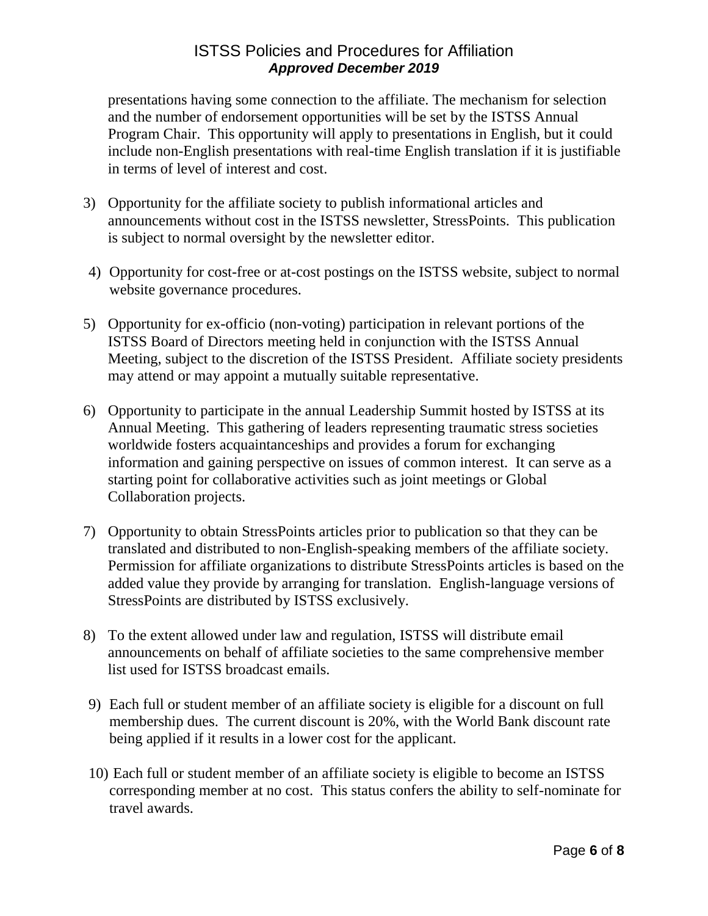presentations having some connection to the affiliate. The mechanism for selection and the number of endorsement opportunities will be set by the ISTSS Annual Program Chair. This opportunity will apply to presentations in English, but it could include non-English presentations with real-time English translation if it is justifiable in terms of level of interest and cost.

- 3) Opportunity for the affiliate society to publish informational articles and announcements without cost in the ISTSS newsletter, StressPoints. This publication is subject to normal oversight by the newsletter editor.
- 4) Opportunity for cost-free or at-cost postings on the ISTSS website, subject to normal website governance procedures.
- 5) Opportunity for ex-officio (non-voting) participation in relevant portions of the ISTSS Board of Directors meeting held in conjunction with the ISTSS Annual Meeting, subject to the discretion of the ISTSS President. Affiliate society presidents may attend or may appoint a mutually suitable representative.
- 6) Opportunity to participate in the annual Leadership Summit hosted by ISTSS at its Annual Meeting. This gathering of leaders representing traumatic stress societies worldwide fosters acquaintanceships and provides a forum for exchanging information and gaining perspective on issues of common interest. It can serve as a starting point for collaborative activities such as joint meetings or Global Collaboration projects.
- 7) Opportunity to obtain StressPoints articles prior to publication so that they can be translated and distributed to non-English-speaking members of the affiliate society. Permission for affiliate organizations to distribute StressPoints articles is based on the added value they provide by arranging for translation. English-language versions of StressPoints are distributed by ISTSS exclusively.
- 8) To the extent allowed under law and regulation, ISTSS will distribute email announcements on behalf of affiliate societies to the same comprehensive member list used for ISTSS broadcast emails.
- 9) Each full or student member of an affiliate society is eligible for a discount on full membership dues. The current discount is 20%, with the World Bank discount rate being applied if it results in a lower cost for the applicant.
- 10) Each full or student member of an affiliate society is eligible to become an ISTSS corresponding member at no cost. This status confers the ability to self-nominate for travel awards.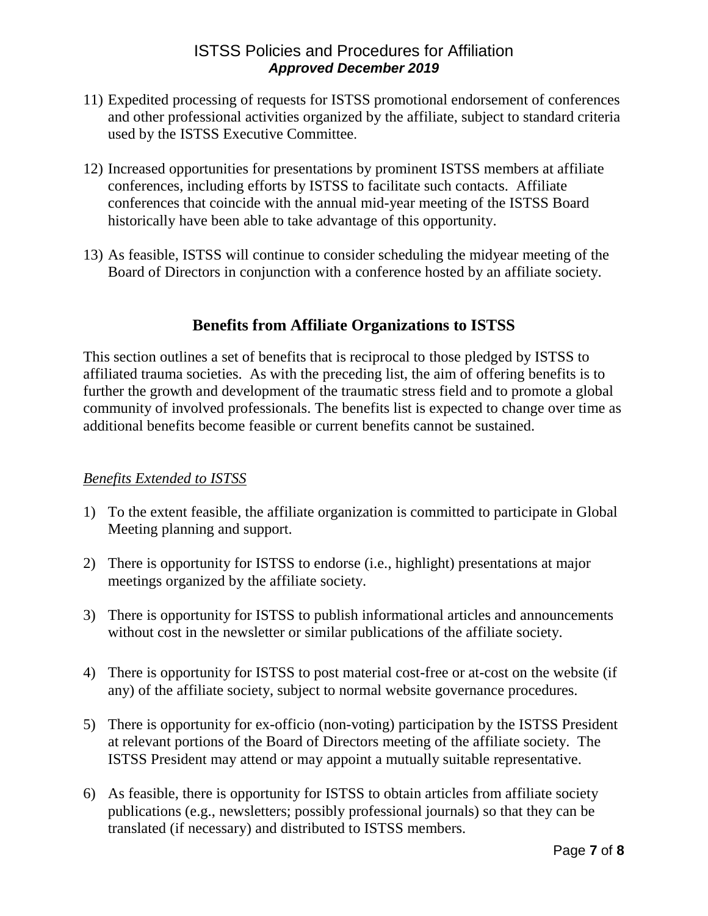- 11) Expedited processing of requests for ISTSS promotional endorsement of conferences and other professional activities organized by the affiliate, subject to standard criteria used by the ISTSS Executive Committee.
- 12) Increased opportunities for presentations by prominent ISTSS members at affiliate conferences, including efforts by ISTSS to facilitate such contacts. Affiliate conferences that coincide with the annual mid-year meeting of the ISTSS Board historically have been able to take advantage of this opportunity.
- 13) As feasible, ISTSS will continue to consider scheduling the midyear meeting of the Board of Directors in conjunction with a conference hosted by an affiliate society.

# **Benefits from Affiliate Organizations to ISTSS**

This section outlines a set of benefits that is reciprocal to those pledged by ISTSS to affiliated trauma societies. As with the preceding list, the aim of offering benefits is to further the growth and development of the traumatic stress field and to promote a global community of involved professionals. The benefits list is expected to change over time as additional benefits become feasible or current benefits cannot be sustained.

#### *Benefits Extended to ISTSS*

- 1) To the extent feasible, the affiliate organization is committed to participate in Global Meeting planning and support.
- 2) There is opportunity for ISTSS to endorse (i.e., highlight) presentations at major meetings organized by the affiliate society.
- 3) There is opportunity for ISTSS to publish informational articles and announcements without cost in the newsletter or similar publications of the affiliate society.
- 4) There is opportunity for ISTSS to post material cost-free or at-cost on the website (if any) of the affiliate society, subject to normal website governance procedures.
- 5) There is opportunity for ex-officio (non-voting) participation by the ISTSS President at relevant portions of the Board of Directors meeting of the affiliate society. The ISTSS President may attend or may appoint a mutually suitable representative.
- 6) As feasible, there is opportunity for ISTSS to obtain articles from affiliate society publications (e.g., newsletters; possibly professional journals) so that they can be translated (if necessary) and distributed to ISTSS members.